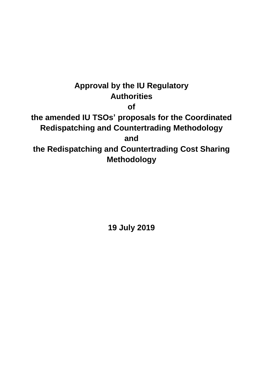# **Approval by the IU Regulatory Authorities of the amended IU TSOs' proposals for the Coordinated Redispatching and Countertrading Methodology and the Redispatching and Countertrading Cost Sharing Methodology**

**19 July 2019**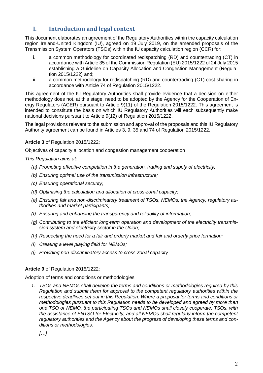# **I. Introduction and legal context**

This document elaborates an agreement of the Regulatory Authorities within the capacity calculation region Ireland-United Kingdom (IU), agreed on 19 July 2019, on the amended proposals of the Transmission System Operators (TSOs) within the IU capacity calculation region (CCR) for:

- i. a common methodology for coordinated redispatching (RD) and countertrading (CT) in accordance with Article 35 of the Commission Regulation (EU) 2015/1222 of 24 July 2015 establishing a Guideline on Capacity Allocation and Congestion Management (Regulation 2015/1222) and;
- ii. a common methodology for redispatching (RD) and countertrading (CT) cost sharing in accordance with Article 74 of Regulation 2015/1222.

This agreement of the IU Regulatory Authorities shall provide evidence that a decision on either methodology does not, at this stage, need to be adopted by the Agency for the Cooperation of Energy Regulators (ACER) pursuant to Article 9(11) of the Regulation 2015/1222. This agreement is intended to constitute the basis on which IU Regulatory Authorities will each subsequently make national decisions pursuant to Article 9(12) of Regulation 2015/1222.

The legal provisions relevant to the submission and approval of the proposals and this IU Regulatory Authority agreement can be found in Articles 3, 9, 35 and 74 of Regulation 2015/1222.

**Article 3** of Regulation 2015/1222:

Objectives of capacity allocation and congestion management cooperation

*This Regulation aims at:*

- *(a) Promoting effective competition in the generation, trading and supply of electricity;*
- *(b) Ensuring optimal use of the transmission infrastructure;*
- *(c) Ensuring operational security;*
- *(d) Optimising the calculation and allocation of cross-zonal capacity;*
- *(e) Ensuring fair and non-discriminatory treatment of TSOs, NEMOs, the Agency, regulatory authorities and market participants;*
- *(f) Ensuring and enhancing the transparency and reliability of information;*
- *(g) Contributing to the efficient long-term operation and development of the electricity transmission system and electricity sector in the Union;*
- *(h) Respecting the need for a fair and orderly market and fair and orderly price formation;*
- *(i) Creating a level playing field for NEMOs;*
- *(j) Providing non-discriminatory access to cross-zonal capacity*

## **Article 9** of Regulation 2015/1222:

Adoption of terms and conditions or methodologies

*1. TSOs and NEMOs shall develop the terms and conditions or methodologies required by this Regulation and submit them for approval to the competent regulatory authorities within the respective deadlines set out in this Regulation. Where a proposal for terms and conditions or methodologies pursuant to this Regulation needs to be developed and agreed by more than one TSO or NEMO, the participating TSOs and NEMOs shall closely cooperate. TSOs, with the assistance of ENTSO for Electricity, and all NEMOs shall regularly inform the competent regulatory authorities and the Agency about the progress of developing these terms and conditions or methodologies.*

*[…]*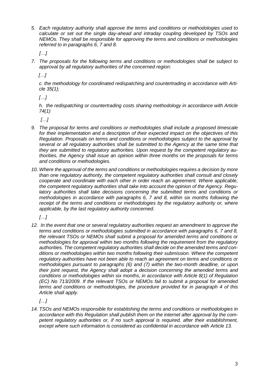*5. Each regulatory authority shall approve the terms and conditions or methodologies used to calculate or set out the single day-ahead and intraday coupling developed by TSOs and NEMOs. They shall be responsible for approving the terms and conditions or methodologies referred to in paragraphs 6, 7 and 8.*

*[…]*

*7. The proposals for the following terms and conditions or methodologies shall be subject to approval by all regulatory authorities of the concerned region:*

 *[…]*

*c. the methodology for coordinated redispatching and countertrading in accordance with Article 35(1);*

*[…]*

*h. the redispatching or countertrading costs sharing methodology in accordance with Article 74(1)*

*[…]*

- *9. The proposal for terms and conditions or methodologies shall include a proposed timescale for their implementation and a description of their expected impact on the objectives of this Regulation. Proposals on terms and conditions or methodologies subject to the approval by several or all regulatory authorities shall be submitted to the Agency at the same time that they are submitted to regulatory authorities. Upon request by the competent regulatory authorities, the Agency shall issue an opinion within three months on the proposals for terms and conditions or methodologies.*
- *10. Where the approval of the terms and conditions or methodologies requires a decision by more than one regulatory authority, the competent regulatory authorities shall consult and closely cooperate and coordinate with each other in order reach an agreement. Where applicable, the competent regulatory authorities shall take into account the opinion of the Agency. Regulatory authorities shall take decisions concerning the submitted terms and conditions or methodologies in accordance with paragraphs 6, 7 and 8, within six months following the*  receipt of the terms and conditions or methodologies by the regulatory authority or, where *applicable, by the last regulatory authority concerned.*

*[…]*

*12. In the event that one or several regulatory authorities request an amendment to approve the terms and conditions or methodologies submitted in accordance with paragraphs 6, 7 and 8, the relevant TSOs or NEMOs shall submit a proposal for amended terms and conditions or methodologies for approval within two months following the requirement from the regulatory authorities. The competent regulatory authorities shall decide on the amended terms and conditions or methodologies within two months following their submission. Where the competent regulatory authorities have not been able to reach an agreement on terms and conditions or methodologies pursuant to paragraphs (6) and (7) within the two-month deadline, or upon their joint request, the Agency shall adopt a decision concerning the amended terms and conditions or methodologies within six months, in accordance with Article 8(1) of Regulation (EC) No 713/2009. If the relevant TSOs or NEMOs fail to submit a proposal for amended terms and conditions or methodologies, the procedure provided for in paragraph 4 of this Article shall apply.*

*[…]*

*14. TSOs and NEMOs responsible for establishing the terms and conditions or methodologies in accordance with this Regulation shall publish them on the internet after approval by the competent regulatory authorities or, if no such approval is required, after their establishment, except where such information is considered as confidential in accordance with Article 13.*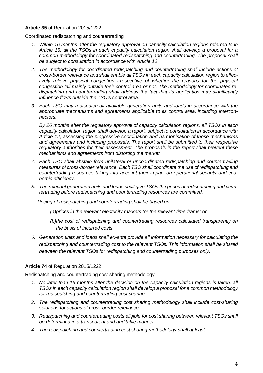#### **Article 35** of Regulation 2015/1222:

Coordinated redispatching and countertrading

- *1. Within 16 months after the regulatory approval on capacity calculation regions referred to in Article 15, all the TSOs in each capacity calculation region shall develop a proposal for a common methodology for coordinated redispatching and countertrading. The proposal shall be subject to consultation in accordance with Article 12.*
- *2. The methodology for coordinated redispatching and countertrading shall include actions of cross-border relevance and shall enable all TSOs in each capacity calculation region to effectively relieve physical congestion irrespective of whether the reasons for the physical congestion fall mainly outside their control area or not. The methodology for coordinated redispatching and countertrading shall address the fact that its application may significantly influence flows outside the TSO's control area.*
- *3. Each TSO may redispatch all available generation units and loads in accordance with the appropriate mechanisms and agreements applicable to its control area, including interconnectors.*

*By 26 months after the regulatory approval of capacity calculation regions, all TSOs in each capacity calculation region shall develop a report, subject to consultation in accordance with Article 12, assessing the progressive coordination and harmonisation of those mechanisms and agreements and including proposals. The report shall be submitted to their respective regulatory authorities for their assessment. The proposals in the report shall prevent these mechanisms and agreements from distorting the market.*

- *4. Each TSO shall abstain from unilateral or uncoordinated redispatching and countertrading measures of cross-border relevance. Each TSO shall coordinate the use of redispatching and countertrading resources taking into account their impact on operational security and economic efficiency.*
- *5. The relevant generation units and loads shall give TSOs the prices of redispatching and countertrading before redispatching and countertrading resources are committed.*

*Pricing of redispatching and countertrading shall be based on:*

*(a)prices in the relevant electricity markets for the relevant time-frame; or*

- *(b)the cost of redispatching and countertrading resources calculated transparently on the basis of incurred costs.*
- *6. Generation units and loads shall ex-ante provide all information necessary for calculating the redispatching and countertrading cost to the relevant TSOs. This information shall be shared between the relevant TSOs for redispatching and countertrading purposes only.*

## **Article 74** of Regulation 2015/1222

Redispatching and countertrading cost sharing methodology

- *1. No later than 16 months after the decision on the capacity calculation regions is taken, all TSOs in each capacity calculation region shall develop a proposal for a common methodology for redispatching and countertrading cost sharing.*
- *2. The redispatching and countertrading cost sharing methodology shall include cost-sharing solutions for actions of cross-border relevance.*
- *3. Redispatching and countertrading costs eligible for cost sharing between relevant TSOs shall be determined in a transparent and auditable manner.*
- *4. The redispatching and countertrading cost sharing methodology shall at least:*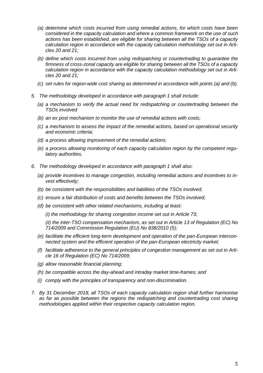- *(a) determine which costs incurred from using remedial actions, for which costs have been considered in the capacity calculation and where a common framework on the use of such actions has been established, are eligible for sharing between all the TSOs of a capacity calculation region in accordance with the capacity calculation methodology set out in Articles 20 and 21;*
- *(b) define which costs incurred from using redispatching or countertrading to guarantee the firmness of cross-zonal capacity are eligible for sharing between all the TSOs of a capacity calculation region in accordance with the capacity calculation methodology set out in Articles 20 and 21;*
- *(c) set rules for region-wide cost sharing as determined in accordance with points (a) and (b).*
- *5. The methodology developed in accordance with paragraph 1 shall include:*
	- *(a) a mechanism to verify the actual need for redispatching or countertrading between the TSOs involved*
	- *(b) an ex post mechanism to monitor the use of remedial actions with costs;*
	- *(c) a mechanism to assess the impact of the remedial actions, based on operational security and economic criteria;*
	- *(d) a process allowing improvement of the remedial actions;*
	- *(e) a process allowing monitoring of each capacity calculation region by the competent regulatory authorities.*
- *6. The methodology developed in accordance with paragraph 1 shall also:*
	- *(a) provide incentives to manage congestion, including remedial actions and incentives to invest effectively;*
	- *(b) be consistent with the responsibilities and liabilities of the TSOs involved;*
	- *(c) ensure a fair distribution of costs and benefits between the TSOs involved;*
	- *(d) be consistent with other related mechanisms, including at least:*

*(i) the methodology for sharing congestion income set out in Article 73;*

*(ii) the inter-TSO compensation mechanism, as set out in Article 13 of Regulation (EC) No 714/2009 and Commission Regulation (EU) No 838/2010 [\(5\);](https://eur-lex.europa.eu/legal-content/EN/TXT/?uri=CELEX%3A32015R1222#ntr5-L_2015197EN.01002401-E0005)*

- *(e) facilitate the efficient long-term development and operation of the pan-European interconnected system and the efficient operation of the pan-European electricity market;*
- *(f) facilitate adherence to the general principles of congestion management as set out in Article 16 of Regulation (EC) No 714/2009;*
- *(g) allow reasonable financial planning;*
- *(h) be compatible across the day-ahead and intraday market time-frames; and*
- *(i) comply with the principles of transparency and non-discrimination.*
- *7. By 31 December 2018, all TSOs of each capacity calculation region shall further harmonise as far as possible between the regions the redispatching and countertrading cost sharing methodologies applied within their respective capacity calculation region.*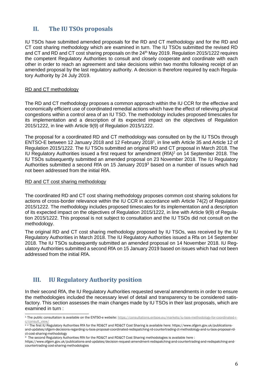# **II. The IU TSOs proposals**

IU TSOs have submitted amended proposals for the RD and CT methodology and for the RD and CT cost sharing methodology which are examined in turn. The IU TSOs submitted the revised RD and CT and RD and CT cost sharing proposals on the 24<sup>th</sup> May 2019. Regulation 2015/1222 requires the competent Regulatory Authorities to consult and closely cooperate and coordinate with each other in order to reach an agreement and take decisions within two months following receipt of an amended proposal by the last regulatory authority. A decision is therefore required by each Regulatory Authority by 24 July 2019.

#### RD and CT methodology

The RD and CT methodology proposes a common approach within the IU CCR for the effective and economically efficient use of coordinated remedial actions which have the effect of relieving physical congestions within a control area of an IU TSO. The methodology includes proposed timescales for its implementation and a description of its expected impact on the objectives of Regulation 2015/1222, in line with Article 9(9) of Regulation 2015/1222.

The proposal for a coordinated RD and CT methodology was consulted on by the IU TSOs through ENTSO-E between 12 January 2018 and 12 February 2018<sup>1</sup> , in line with Article 35 and Article 12 of Regulation 2015/1222. The IU TSOs submitted an original RD and CT proposal in March 2018. The IU Regulatory Authorities issued a first request for amendment (RfA)<sup>2</sup> on 14 September 2018. The IU TSOs subsequently submitted an amended proposal on 23 November 2018. The IU Regulatory Authorities submitted a second RfA on 15 January 2019<sup>3</sup> based on a number of issues which had not been addressed from the initial RfA.

#### RD and CT cost sharing methodology

The coordinated RD and CT cost sharing methodology proposes common cost sharing solutions for actions of cross-border relevance within the IU CCR in accordance with Article 74(2) of Regulation 2015/1222. The methodology includes proposed timescales for its implementation and a description of its expected impact on the objectives of Regulation 2015/1222, in line with Article 9(9) of Regulation 2015/1222. This proposal is not subject to consultation and the IU TSOs did not consult on the methodology.

The original RD and CT cost sharing methodology proposed by IU TSOs, was received by the IU Regulatory Authorities in March 2018. The IU Regulatory Authorities issued a Rfa on 14 September 2018. The IU TSOs subsequently submitted an amended proposal on 14 November 2018. IU Regulatory Authorities submitted a second RfA on 15 January 2019 based on issues which had not been addressed from the initial RfA.

# **III. IU Regulatory Authority position**

In their second RfA, the IU Regulatory Authorities requested several amendments in order to ensure the methodologies included the necessary level of detail and transparency to be considered satisfactory. This section assesses the main changes made by IU TSOs in their last proposals, which are examined in turn :

 $\overline{a}$ <sup>1</sup> The public consultation is available on the ENTSO-e website[: https://consultations.entsoe.eu/markets/iu-tsos-methodology-for-coordinated-r](https://consultations.entsoe.eu/markets/iu-tsos-methodology-for-coordinated-r-c/consult_view/)[c/consult\\_view/](https://consultations.entsoe.eu/markets/iu-tsos-methodology-for-coordinated-r-c/consult_view/)

<sup>&</sup>lt;sup>2 2</sup> The first IU Regulatory Authorities RfA for the RD&CT and RD&CT Cost Sharing is available here: https://www.ofgem.gov.uk/publicationsand-updates/ofgem-decisions-regarding-iu-tsos-proposal-coordinated-redispatching-rd-countertrading-ct-methodology-and-iu-tsos-proposal-rdct-cost-sharing-methodology

<sup>3</sup> The second Regulatory Authorities RfA for the RD&CT and RD&CT Cost Sharing methodologies is available here :

https://www.ofgem.gov.uk/publications-and-updates/decision-request-amendment-redispatching-and-countertrading-and-redispatching-andcountertrading-cost-sharing-methodologies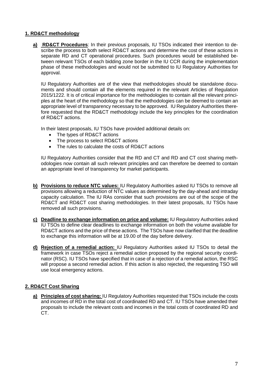## **1. RD&CT methodology**

**a) RD&CT Procedures**: In their previous proposals, IU TSOs indicated their intention to describe the process to both select RD&CT actions and determine the cost of these actions in separate RD and CT operational procedures. Such procedures would be established between relevant TSOs of each bidding zone border in the IU CCR during the implementation phase of these methodologies and would not be submitted to IU Regulatory Authorities for approval.

IU Regulatory Authorities are of the view that methodologies should be standalone documents and should contain all the elements required in the relevant Articles of Regulation 2015/1222. It is of critical importance for the methodologies to contain all the relevant principles at the heart of the methodology so that the methodologies can be deemed to contain an appropriate level of transparency necessary to be approved. IU Regulatory Authorities therefore requested that the RD&CT methodology include the key principles for the coordination of RD&CT actions.

In their latest proposals, IU TSOs have provided additional details on:

- The types of RD&CT actions
- The process to select RD&CT actions
- The rules to calculate the costs of RD&CT actions

IU Regulatory Authorities consider that the RD and CT and RD and CT cost sharing methodologies now contain all such relevant principles and can therefore be deemed to contain an appropriate level of transparency for market participants.

- **b) Provisions to reduce NTC values:** IU Regulatory Authorities asked IU TSOs to remove all provisions allowing a reduction of NTC values as determined by the day-ahead and intraday capacity calculation. The IU RAs consider that such provisions are out of the scope of the RD&CT and RD&CT cost sharing methodologies. In their latest proposals, IU TSOs have removed all such provisions.
- **c) Deadline to exchange information on price and volume:** IU Regulatory Authorities asked IU TSOs to define clear deadlines to exchange information on both the volume available for RD&CT actions and the price of these actions. The TSOs have now clarified that the deadline to exchange this information will be at 19.00 of the day before delivery.
- **d) Rejection of a remedial action:** IU Regulatory Authorities asked IU TSOs to detail the framework in case TSOs reject a remedial action proposed by the regional security coordinator (RSC). IU TSOs have specified that in case of a rejection of a remedial action, the RSC will propose a second remedial action. If this action is also rejected, the requesting TSO will use local emergency actions.

## **2. RD&CT Cost Sharing**

**a) Principles of cost sharing:** IU Regulatory Authorities requested that TSOs include the costs and incomes of RD in the total cost of coordinated RD and CT. IU TSOs have amended their proposals to include the relevant costs and incomes in the total costs of coordinated RD and CT.